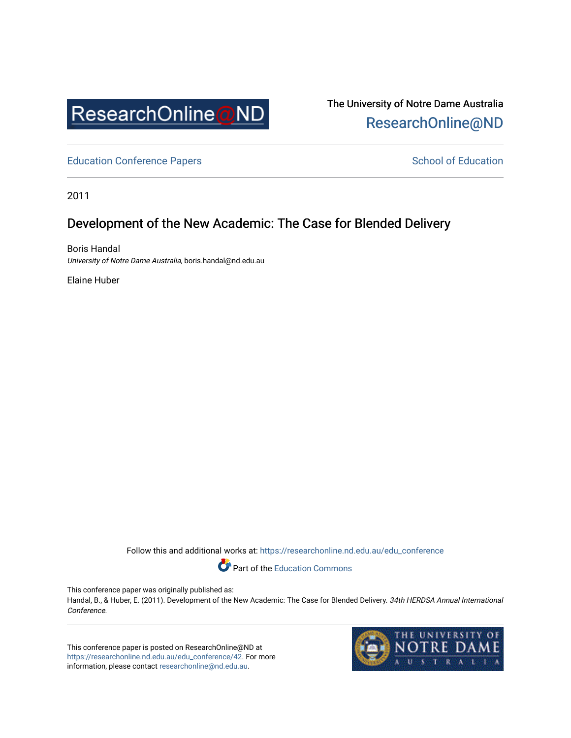

The University of Notre Dame Australia [ResearchOnline@ND](https://researchonline.nd.edu.au/) 

[Education Conference Papers](https://researchonline.nd.edu.au/edu_conference) **School of Education** School of Education

2011

## Development of the New Academic: The Case for Blended Delivery

Boris Handal University of Notre Dame Australia, boris.handal@nd.edu.au

Elaine Huber

Follow this and additional works at: [https://researchonline.nd.edu.au/edu\\_conference](https://researchonline.nd.edu.au/edu_conference?utm_source=researchonline.nd.edu.au%2Fedu_conference%2F42&utm_medium=PDF&utm_campaign=PDFCoverPages)

Part of the [Education Commons](http://network.bepress.com/hgg/discipline/784?utm_source=researchonline.nd.edu.au%2Fedu_conference%2F42&utm_medium=PDF&utm_campaign=PDFCoverPages) 

This conference paper was originally published as:

Handal, B., & Huber, E. (2011). Development of the New Academic: The Case for Blended Delivery. 34th HERDSA Annual International Conference.

This conference paper is posted on ResearchOnline@ND at [https://researchonline.nd.edu.au/edu\\_conference/42.](https://researchonline.nd.edu.au/edu_conference/42) For more information, please contact [researchonline@nd.edu.au.](mailto:researchonline@nd.edu.au)

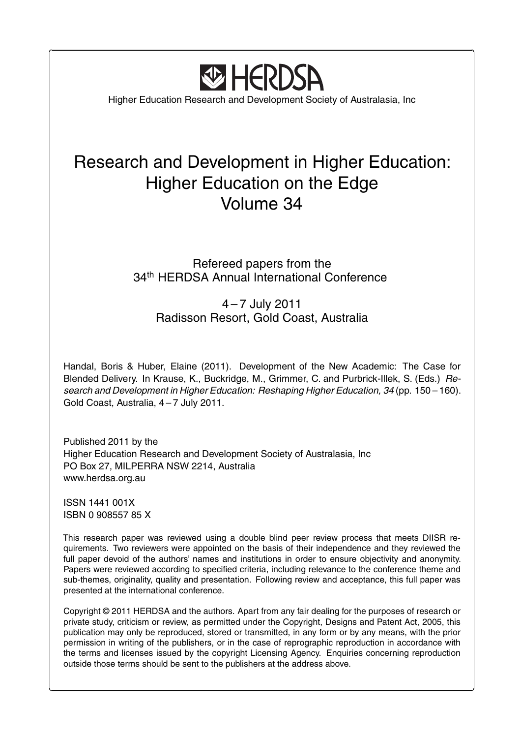

Ĭ.

 $\overline{a}$ 

Higher Education Research and Development Society of Australasia, Inc

# Research and Development in Higher Education: Higher Education on the Edge Volume 34

## Refereed papers from the 34<sup>th</sup> HERDSA Annual International Conference

4 – 7 July 2011 Radisson Resort, Gold Coast, Australia

Handal, Boris & Huber, Elaine (2011). Development of the New Academic: The Case for Blended Delivery. In Krause, K., Buckridge, M., Grimmer, C. and Purbrick-Illek, S. (Eds.) *Research and Development in Higher Education: Reshaping Higher Education, 34* (pp. 150 – 160). Gold Coast, Australia, 4 – 7 July 2011.

Published 2011 by the Higher Education Research and Development Society of Australasia, Inc PO Box 27, MILPERRA NSW 2214, Australia www.herdsa.org.au

ISSN 1441 001X ISBN 0 908557 85 X

**✂**

**✄**

This research paper was reviewed using a double blind peer review process that meets DIISR requirements. Two reviewers were appointed on the basis of their independence and they reviewed the full paper devoid of the authors' names and institutions in order to ensure objectivity and anonymity. Papers were reviewed according to specified criteria, including relevance to the conference theme and sub-themes, originality, quality and presentation. Following review and acceptance, this full paper was presented at the international conference.

Copyright © 2011 HERDSA and the authors. Apart from any fair dealing for the purposes of research or private study, criticism or review, as permitted under the Copyright, Designs and Patent Act, 2005, this publication may only be reproduced, stored or transmitted, in any form or by any means, with the prior permission in writing of the publishers, or in the case of reprographic reproduction in accordance with the terms and licenses issued by the copyright Licensing Agency. Enquiries concerning reproduction outside those terms should be sent to the publishers at the address above.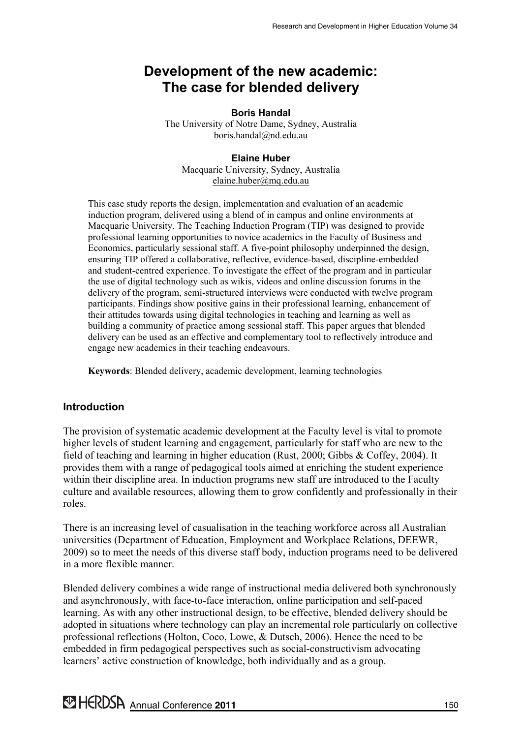## **Development of the new academic: The case for blended delivery**

**Boris Handal**  The University of Notre Dame, Sydney, Australia boris.handal@nd.edu.au

#### **Elaine Huber**  Macquarie University, Sydney, Australia elaine.huber@mq.edu.au

This case study reports the design, implementation and evaluation of an academic induction program, delivered using a blend of in campus and online environments at Macquarie University. The Teaching Induction Program (TIP) was designed to provide professional learning opportunities to novice academics in the Faculty of Business and Economics, particularly sessional staff. A five-point philosophy underpinned the design, ensuring TIP offered a collaborative, reflective, evidence-based, discipline-embedded and student-centred experience. To investigate the effect of the program and in particular the use of digital technology such as wikis, videos and online discussion forums in the delivery of the program, semi-structured interviews were conducted with twelve program participants. Findings show positive gains in their professional learning, enhancement of their attitudes towards using digital technologies in teaching and learning as well as building a community of practice among sessional staff. This paper argues that blended delivery can be used as an effective and complementary tool to reflectively introduce and engage new academics in their teaching endeavours.

**Keywords**: Blended delivery, academic development, learning technologies

## **Introduction**

The provision of systematic academic development at the Faculty level is vital to promote higher levels of student learning and engagement, particularly for staff who are new to the field of teaching and learning in higher education (Rust, 2000; Gibbs & Coffey, 2004). It provides them with a range of pedagogical tools aimed at enriching the student experience within their discipline area. In induction programs new staff are introduced to the Faculty culture and available resources, allowing them to grow confidently and professionally in their roles.

There is an increasing level of casualisation in the teaching workforce across all Australian universities (Department of Education, Employment and Workplace Relations, DEEWR, 2009) so to meet the needs of this diverse staff body, induction programs need to be delivered in a more flexible manner.

Blended delivery combines a wide range of instructional media delivered both synchronously and asynchronously, with face-to-face interaction, online participation and self-paced learning. As with any other instructional design, to be effective, blended delivery should be adopted in situations where technology can play an incremental role particularly on collective professional reflections (Holton, Coco, Lowe, & Dutsch, 2006). Hence the need to be embedded in firm pedagogical perspectives such as social-constructivism advocating learners' active construction of knowledge, both individually and as a group.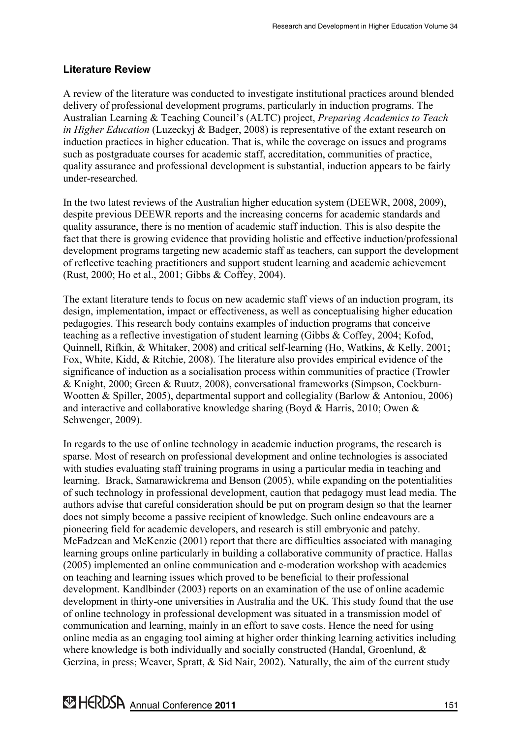## **Literature Review**

A review of the literature was conducted to investigate institutional practices around blended delivery of professional development programs, particularly in induction programs. The Australian Learning & Teaching Council's (ALTC) project, *Preparing Academics to Teach in Higher Education* (Luzeckyj & Badger, 2008) is representative of the extant research on induction practices in higher education. That is, while the coverage on issues and programs such as postgraduate courses for academic staff, accreditation, communities of practice, quality assurance and professional development is substantial, induction appears to be fairly under-researched.

In the two latest reviews of the Australian higher education system (DEEWR, 2008, 2009), despite previous DEEWR reports and the increasing concerns for academic standards and quality assurance, there is no mention of academic staff induction. This is also despite the fact that there is growing evidence that providing holistic and effective induction/professional development programs targeting new academic staff as teachers, can support the development of reflective teaching practitioners and support student learning and academic achievement (Rust, 2000; Ho et al., 2001; Gibbs & Coffey, 2004).

The extant literature tends to focus on new academic staff views of an induction program, its design, implementation, impact or effectiveness, as well as conceptualising higher education pedagogies. This research body contains examples of induction programs that conceive teaching as a reflective investigation of student learning (Gibbs & Coffey, 2004; Kofod, Quinnell, Rifkin, & Whitaker, 2008) and critical self-learning (Ho, Watkins, & Kelly, 2001; Fox, White, Kidd, & Ritchie, 2008). The literature also provides empirical evidence of the significance of induction as a socialisation process within communities of practice (Trowler & Knight, 2000; Green & Ruutz, 2008), conversational frameworks (Simpson, Cockburn-Wootten & Spiller, 2005), departmental support and collegiality (Barlow & Antoniou, 2006) and interactive and collaborative knowledge sharing (Boyd & Harris, 2010; Owen & Schwenger, 2009).

In regards to the use of online technology in academic induction programs, the research is sparse. Most of research on professional development and online technologies is associated with studies evaluating staff training programs in using a particular media in teaching and learning. Brack, Samarawickrema and Benson (2005), while expanding on the potentialities of such technology in professional development, caution that pedagogy must lead media. The authors advise that careful consideration should be put on program design so that the learner does not simply become a passive recipient of knowledge. Such online endeavours are a pioneering field for academic developers, and research is still embryonic and patchy. McFadzean and McKenzie (2001) report that there are difficulties associated with managing learning groups online particularly in building a collaborative community of practice. Hallas (2005) implemented an online communication and e-moderation workshop with academics on teaching and learning issues which proved to be beneficial to their professional development. Kandlbinder (2003) reports on an examination of the use of online academic development in thirty-one universities in Australia and the UK. This study found that the use of online technology in professional development was situated in a transmission model of communication and learning, mainly in an effort to save costs. Hence the need for using online media as an engaging tool aiming at higher order thinking learning activities including where knowledge is both individually and socially constructed (Handal, Groenlund, & Gerzina, in press; Weaver, Spratt, & Sid Nair, 2002). Naturally, the aim of the current study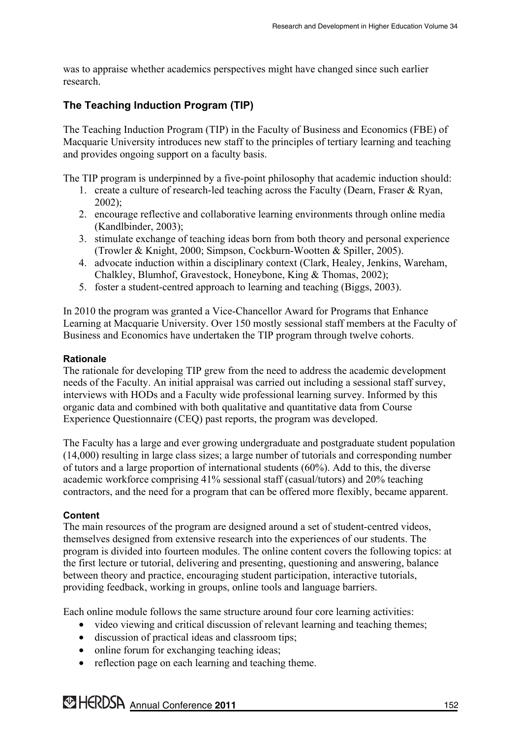was to appraise whether academics perspectives might have changed since such earlier research.

## **The Teaching Induction Program (TIP)**

The Teaching Induction Program (TIP) in the Faculty of Business and Economics (FBE) of Macquarie University introduces new staff to the principles of tertiary learning and teaching and provides ongoing support on a faculty basis.

The TIP program is underpinned by a five-point philosophy that academic induction should:

- 1. create a culture of research-led teaching across the Faculty (Dearn, Fraser & Ryan, 2002);
- 2. encourage reflective and collaborative learning environments through online media (Kandlbinder, 2003);
- 3. stimulate exchange of teaching ideas born from both theory and personal experience (Trowler & Knight, 2000; Simpson, Cockburn-Wootten & Spiller, 2005).
- 4. advocate induction within a disciplinary context (Clark, Healey, Jenkins, Wareham, Chalkley, Blumhof, Gravestock, Honeybone, King & Thomas, 2002);
- 5. foster a student-centred approach to learning and teaching (Biggs, 2003).

In 2010 the program was granted a Vice-Chancellor Award for Programs that Enhance Learning at Macquarie University. Over 150 mostly sessional staff members at the Faculty of Business and Economics have undertaken the TIP program through twelve cohorts.

## **Rationale**

The rationale for developing TIP grew from the need to address the academic development needs of the Faculty. An initial appraisal was carried out including a sessional staff survey, interviews with HODs and a Faculty wide professional learning survey. Informed by this organic data and combined with both qualitative and quantitative data from Course Experience Questionnaire (CEQ) past reports, the program was developed.

The Faculty has a large and ever growing undergraduate and postgraduate student population (14,000) resulting in large class sizes; a large number of tutorials and corresponding number of tutors and a large proportion of international students (60%). Add to this, the diverse academic workforce comprising 41% sessional staff (casual/tutors) and 20% teaching contractors, and the need for a program that can be offered more flexibly, became apparent.

## **Content**

The main resources of the program are designed around a set of student-centred videos, themselves designed from extensive research into the experiences of our students. The program is divided into fourteen modules. The online content covers the following topics: at the first lecture or tutorial, delivering and presenting, questioning and answering, balance between theory and practice, encouraging student participation, interactive tutorials, providing feedback, working in groups, online tools and language barriers.

Each online module follows the same structure around four core learning activities:

- video viewing and critical discussion of relevant learning and teaching themes;
- discussion of practical ideas and classroom tips;
- online forum for exchanging teaching ideas;
- reflection page on each learning and teaching theme.

**MERDSA** Annual Conference 2011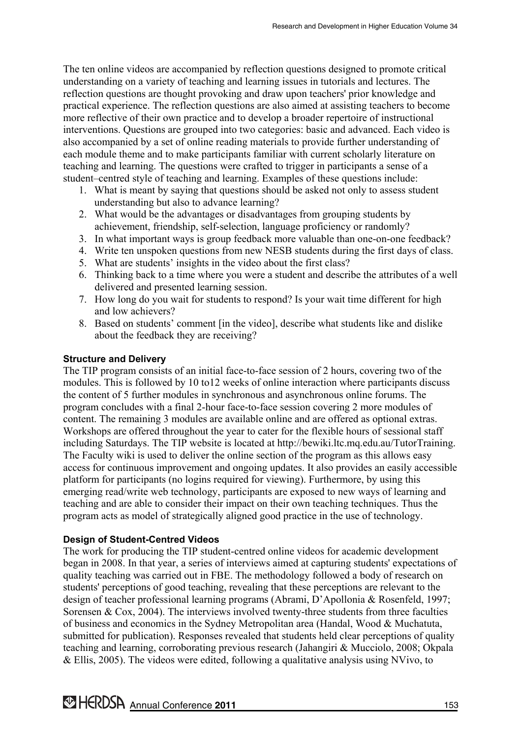The ten online videos are accompanied by reflection questions designed to promote critical understanding on a variety of teaching and learning issues in tutorials and lectures. The reflection questions are thought provoking and draw upon teachers' prior knowledge and practical experience. The reflection questions are also aimed at assisting teachers to become more reflective of their own practice and to develop a broader repertoire of instructional interventions. Questions are grouped into two categories: basic and advanced. Each video is also accompanied by a set of online reading materials to provide further understanding of each module theme and to make participants familiar with current scholarly literature on teaching and learning. The questions were crafted to trigger in participants a sense of a student–centred style of teaching and learning. Examples of these questions include:

- 1. What is meant by saying that questions should be asked not only to assess student understanding but also to advance learning?
- 2. What would be the advantages or disadvantages from grouping students by achievement, friendship, self-selection, language proficiency or randomly?
- 3. In what important ways is group feedback more valuable than one-on-one feedback?
- 4. Write ten unspoken questions from new NESB students during the first days of class.
- 5. What are students' insights in the video about the first class?
- 6. Thinking back to a time where you were a student and describe the attributes of a well delivered and presented learning session.
- 7. How long do you wait for students to respond? Is your wait time different for high and low achievers?
- 8. Based on students' comment [in the video], describe what students like and dislike about the feedback they are receiving?

#### **Structure and Delivery**

The TIP program consists of an initial face-to-face session of 2 hours, covering two of the modules. This is followed by 10 to12 weeks of online interaction where participants discuss the content of 5 further modules in synchronous and asynchronous online forums. The program concludes with a final 2-hour face-to-face session covering 2 more modules of content. The remaining 3 modules are available online and are offered as optional extras. Workshops are offered throughout the year to cater for the flexible hours of sessional staff including Saturdays. The TIP website is located at http://bewiki.ltc.mq.edu.au/TutorTraining. The Faculty wiki is used to deliver the online section of the program as this allows easy access for continuous improvement and ongoing updates. It also provides an easily accessible platform for participants (no logins required for viewing). Furthermore, by using this emerging read/write web technology, participants are exposed to new ways of learning and teaching and are able to consider their impact on their own teaching techniques. Thus the program acts as model of strategically aligned good practice in the use of technology.

#### **Design of Student-Centred Videos**

The work for producing the TIP student-centred online videos for academic development began in 2008. In that year, a series of interviews aimed at capturing students' expectations of quality teaching was carried out in FBE. The methodology followed a body of research on students' perceptions of good teaching, revealing that these perceptions are relevant to the design of teacher professional learning programs (Abrami, D'Apollonia & Rosenfeld, 1997; Sorensen  $& \text{Cox}, 2004$ ). The interviews involved twenty-three students from three faculties of business and economics in the Sydney Metropolitan area (Handal, Wood & Muchatuta, submitted for publication). Responses revealed that students held clear perceptions of quality teaching and learning, corroborating previous research (Jahangiri & Mucciolo, 2008; Okpala & Ellis, 2005). The videos were edited, following a qualitative analysis using NVivo, to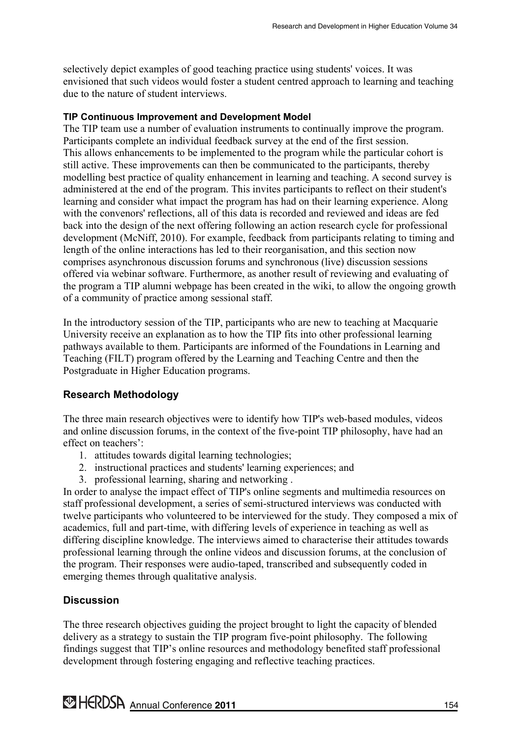selectively depict examples of good teaching practice using students' voices. It was envisioned that such videos would foster a student centred approach to learning and teaching due to the nature of student interviews.

#### **TIP Continuous Improvement and Development Model**

The TIP team use a number of evaluation instruments to continually improve the program. Participants complete an individual feedback survey at the end of the first session. This allows enhancements to be implemented to the program while the particular cohort is still active. These improvements can then be communicated to the participants, thereby modelling best practice of quality enhancement in learning and teaching. A second survey is administered at the end of the program. This invites participants to reflect on their student's learning and consider what impact the program has had on their learning experience. Along with the convenors' reflections, all of this data is recorded and reviewed and ideas are fed back into the design of the next offering following an action research cycle for professional development (McNiff, 2010). For example, feedback from participants relating to timing and length of the online interactions has led to their reorganisation, and this section now comprises asynchronous discussion forums and synchronous (live) discussion sessions offered via webinar software. Furthermore, as another result of reviewing and evaluating of the program a TIP alumni webpage has been created in the wiki, to allow the ongoing growth of a community of practice among sessional staff.

In the introductory session of the TIP, participants who are new to teaching at Macquarie University receive an explanation as to how the TIP fits into other professional learning pathways available to them. Participants are informed of the Foundations in Learning and Teaching (FILT) program offered by the Learning and Teaching Centre and then the Postgraduate in Higher Education programs.

#### **Research Methodology**

The three main research objectives were to identify how TIP's web-based modules, videos and online discussion forums, in the context of the five-point TIP philosophy, have had an effect on teachers':

- 1. attitudes towards digital learning technologies;
- 2. instructional practices and students' learning experiences; and
- 3. professional learning, sharing and networking .

In order to analyse the impact effect of TIP's online segments and multimedia resources on staff professional development, a series of semi-structured interviews was conducted with twelve participants who volunteered to be interviewed for the study. They composed a mix of academics, full and part-time, with differing levels of experience in teaching as well as differing discipline knowledge. The interviews aimed to characterise their attitudes towards professional learning through the online videos and discussion forums, at the conclusion of the program. Their responses were audio-taped, transcribed and subsequently coded in emerging themes through qualitative analysis.

#### **Discussion**

The three research objectives guiding the project brought to light the capacity of blended delivery as a strategy to sustain the TIP program five-point philosophy. The following findings suggest that TIP's online resources and methodology benefited staff professional development through fostering engaging and reflective teaching practices.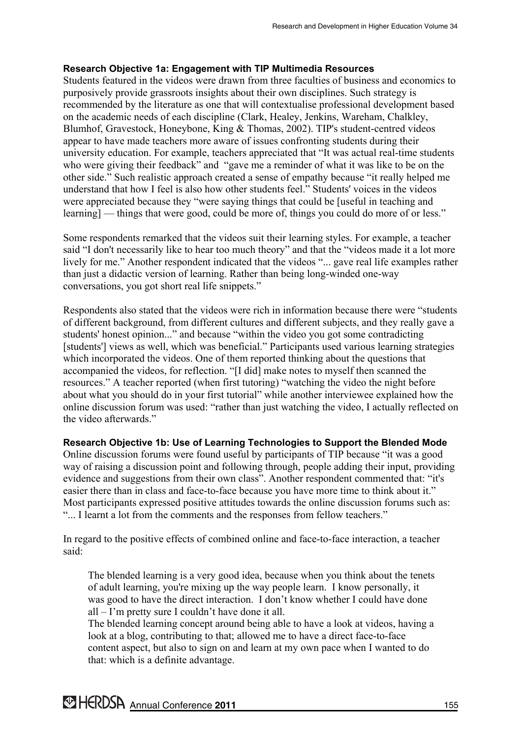#### **Research Objective 1a: Engagement with TIP Multimedia Resources**

Students featured in the videos were drawn from three faculties of business and economics to purposively provide grassroots insights about their own disciplines. Such strategy is recommended by the literature as one that will contextualise professional development based on the academic needs of each discipline (Clark, Healey, Jenkins, Wareham, Chalkley, Blumhof, Gravestock, Honeybone, King & Thomas, 2002). TIP's student-centred videos appear to have made teachers more aware of issues confronting students during their university education. For example, teachers appreciated that "It was actual real-time students who were giving their feedback" and "gave me a reminder of what it was like to be on the other side." Such realistic approach created a sense of empathy because "it really helped me understand that how I feel is also how other students feel." Students' voices in the videos were appreciated because they "were saying things that could be [useful in teaching and learning] — things that were good, could be more of, things you could do more of or less."

Some respondents remarked that the videos suit their learning styles. For example, a teacher said "I don't necessarily like to hear too much theory" and that the "videos made it a lot more lively for me." Another respondent indicated that the videos "... gave real life examples rather than just a didactic version of learning. Rather than being long-winded one-way conversations, you got short real life snippets."

Respondents also stated that the videos were rich in information because there were "students of different background, from different cultures and different subjects, and they really gave a students' honest opinion..." and because "within the video you got some contradicting [students'] views as well, which was beneficial." Participants used various learning strategies which incorporated the videos. One of them reported thinking about the questions that accompanied the videos, for reflection. "[I did] make notes to myself then scanned the resources." A teacher reported (when first tutoring) "watching the video the night before about what you should do in your first tutorial" while another interviewee explained how the online discussion forum was used: "rather than just watching the video, I actually reflected on the video afterwards."

**Research Objective 1b: Use of Learning Technologies to Support the Blended Mode**  Online discussion forums were found useful by participants of TIP because "it was a good way of raising a discussion point and following through, people adding their input, providing evidence and suggestions from their own class". Another respondent commented that: "it's easier there than in class and face-to-face because you have more time to think about it." Most participants expressed positive attitudes towards the online discussion forums such as: "... I learnt a lot from the comments and the responses from fellow teachers."

In regard to the positive effects of combined online and face-to-face interaction, a teacher said:

The blended learning is a very good idea, because when you think about the tenets of adult learning, you're mixing up the way people learn. I know personally, it was good to have the direct interaction. I don't know whether I could have done all – I'm pretty sure I couldn't have done it all.

The blended learning concept around being able to have a look at videos, having a look at a blog, contributing to that; allowed me to have a direct face-to-face content aspect, but also to sign on and learn at my own pace when I wanted to do that: which is a definite advantage.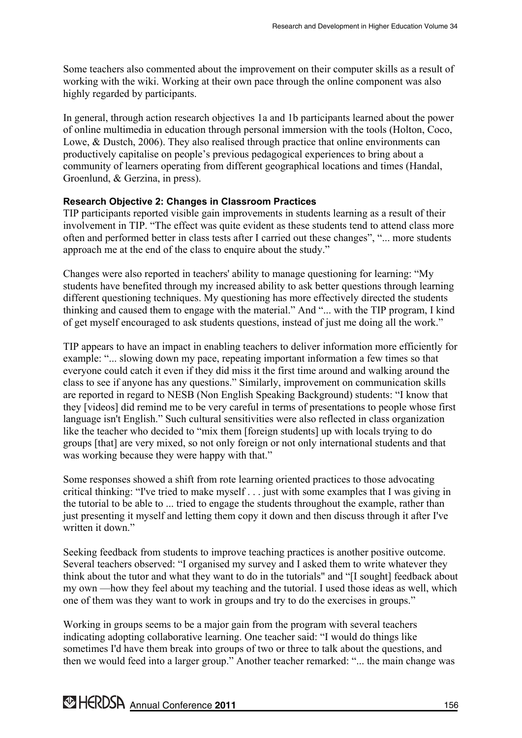Some teachers also commented about the improvement on their computer skills as a result of working with the wiki. Working at their own pace through the online component was also highly regarded by participants.

In general, through action research objectives 1a and 1b participants learned about the power of online multimedia in education through personal immersion with the tools (Holton, Coco, Lowe, & Dustch, 2006). They also realised through practice that online environments can productively capitalise on people's previous pedagogical experiences to bring about a community of learners operating from different geographical locations and times (Handal, Groenlund, & Gerzina, in press).

#### **Research Objective 2: Changes in Classroom Practices**

TIP participants reported visible gain improvements in students learning as a result of their involvement in TIP. "The effect was quite evident as these students tend to attend class more often and performed better in class tests after I carried out these changes", "... more students approach me at the end of the class to enquire about the study."

Changes were also reported in teachers' ability to manage questioning for learning: "My students have benefited through my increased ability to ask better questions through learning different questioning techniques. My questioning has more effectively directed the students thinking and caused them to engage with the material." And "... with the TIP program, I kind of get myself encouraged to ask students questions, instead of just me doing all the work."

TIP appears to have an impact in enabling teachers to deliver information more efficiently for example: "... slowing down my pace, repeating important information a few times so that everyone could catch it even if they did miss it the first time around and walking around the class to see if anyone has any questions." Similarly, improvement on communication skills are reported in regard to NESB (Non English Speaking Background) students: "I know that they [videos] did remind me to be very careful in terms of presentations to people whose first language isn't English." Such cultural sensitivities were also reflected in class organization like the teacher who decided to "mix them [foreign students] up with locals trying to do groups [that] are very mixed, so not only foreign or not only international students and that was working because they were happy with that."

Some responses showed a shift from rote learning oriented practices to those advocating critical thinking: "I've tried to make myself . . . just with some examples that I was giving in the tutorial to be able to ... tried to engage the students throughout the example, rather than just presenting it myself and letting them copy it down and then discuss through it after I've written it down."

Seeking feedback from students to improve teaching practices is another positive outcome. Several teachers observed: "I organised my survey and I asked them to write whatever they think about the tutor and what they want to do in the tutorials" and "[I sought] feedback about my own —how they feel about my teaching and the tutorial. I used those ideas as well, which one of them was they want to work in groups and try to do the exercises in groups."

Working in groups seems to be a major gain from the program with several teachers indicating adopting collaborative learning. One teacher said: "I would do things like sometimes I'd have them break into groups of two or three to talk about the questions, and then we would feed into a larger group." Another teacher remarked: "... the main change was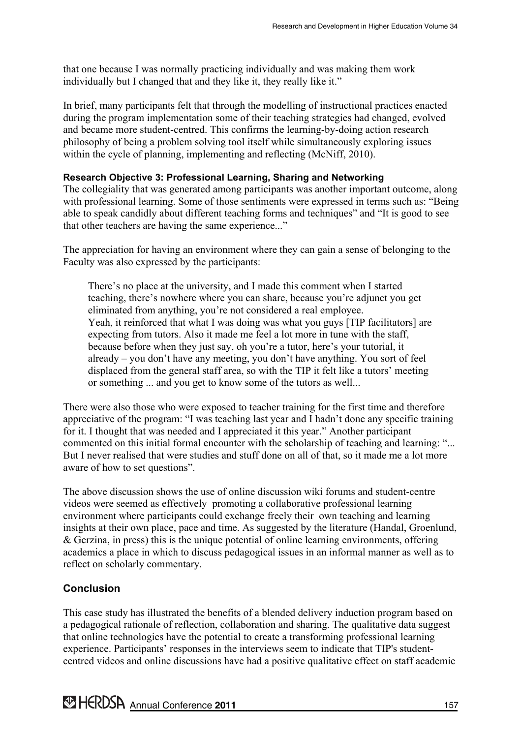that one because I was normally practicing individually and was making them work individually but I changed that and they like it, they really like it."

In brief, many participants felt that through the modelling of instructional practices enacted during the program implementation some of their teaching strategies had changed, evolved and became more student-centred. This confirms the learning-by-doing action research philosophy of being a problem solving tool itself while simultaneously exploring issues within the cycle of planning, implementing and reflecting (McNiff, 2010).

#### **Research Objective 3: Professional Learning, Sharing and Networking**

The collegiality that was generated among participants was another important outcome, along with professional learning. Some of those sentiments were expressed in terms such as: "Being able to speak candidly about different teaching forms and techniques" and "It is good to see that other teachers are having the same experience..."

The appreciation for having an environment where they can gain a sense of belonging to the Faculty was also expressed by the participants:

There's no place at the university, and I made this comment when I started teaching, there's nowhere where you can share, because you're adjunct you get eliminated from anything, you're not considered a real employee. Yeah, it reinforced that what I was doing was what you guys [TIP facilitators] are expecting from tutors. Also it made me feel a lot more in tune with the staff, because before when they just say, oh you're a tutor, here's your tutorial, it already – you don't have any meeting, you don't have anything. You sort of feel displaced from the general staff area, so with the TIP it felt like a tutors' meeting or something ... and you get to know some of the tutors as well...

There were also those who were exposed to teacher training for the first time and therefore appreciative of the program: "I was teaching last year and I hadn't done any specific training for it. I thought that was needed and I appreciated it this year." Another participant commented on this initial formal encounter with the scholarship of teaching and learning: "... But I never realised that were studies and stuff done on all of that, so it made me a lot more aware of how to set questions".

The above discussion shows the use of online discussion wiki forums and student-centre videos were seemed as effectively promoting a collaborative professional learning environment where participants could exchange freely their own teaching and learning insights at their own place, pace and time. As suggested by the literature (Handal, Groenlund, & Gerzina, in press) this is the unique potential of online learning environments, offering academics a place in which to discuss pedagogical issues in an informal manner as well as to reflect on scholarly commentary.

#### **Conclusion**

This case study has illustrated the benefits of a blended delivery induction program based on a pedagogical rationale of reflection, collaboration and sharing. The qualitative data suggest that online technologies have the potential to create a transforming professional learning experience. Participants' responses in the interviews seem to indicate that TIP's studentcentred videos and online discussions have had a positive qualitative effect on staff academic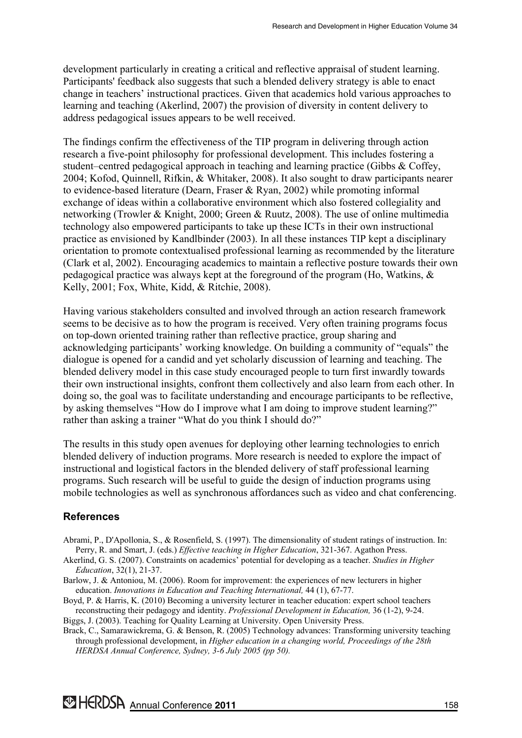development particularly in creating a critical and reflective appraisal of student learning. Participants' feedback also suggests that such a blended delivery strategy is able to enact change in teachers' instructional practices. Given that academics hold various approaches to learning and teaching (Akerlind, 2007) the provision of diversity in content delivery to address pedagogical issues appears to be well received.

The findings confirm the effectiveness of the TIP program in delivering through action research a five-point philosophy for professional development. This includes fostering a student–centred pedagogical approach in teaching and learning practice (Gibbs & Coffey, 2004; Kofod, Quinnell, Rifkin, & Whitaker, 2008). It also sought to draw participants nearer to evidence-based literature (Dearn, Fraser & Ryan, 2002) while promoting informal exchange of ideas within a collaborative environment which also fostered collegiality and networking (Trowler & Knight, 2000; Green & Ruutz, 2008). The use of online multimedia technology also empowered participants to take up these ICTs in their own instructional practice as envisioned by Kandlbinder (2003). In all these instances TIP kept a disciplinary orientation to promote contextualised professional learning as recommended by the literature (Clark et al, 2002). Encouraging academics to maintain a reflective posture towards their own pedagogical practice was always kept at the foreground of the program (Ho, Watkins, & Kelly, 2001; Fox, White, Kidd, & Ritchie, 2008).

Having various stakeholders consulted and involved through an action research framework seems to be decisive as to how the program is received. Very often training programs focus on top-down oriented training rather than reflective practice, group sharing and acknowledging participants' working knowledge. On building a community of "equals" the dialogue is opened for a candid and yet scholarly discussion of learning and teaching. The blended delivery model in this case study encouraged people to turn first inwardly towards their own instructional insights, confront them collectively and also learn from each other. In doing so, the goal was to facilitate understanding and encourage participants to be reflective, by asking themselves "How do I improve what I am doing to improve student learning?" rather than asking a trainer "What do you think I should do?"

The results in this study open avenues for deploying other learning technologies to enrich blended delivery of induction programs. More research is needed to explore the impact of instructional and logistical factors in the blended delivery of staff professional learning programs. Such research will be useful to guide the design of induction programs using mobile technologies as well as synchronous affordances such as video and chat conferencing.

## **References**

- Abrami, P., D'Apollonia, S., & Rosenfield, S. (1997). The dimensionality of student ratings of instruction. In: Perry, R. and Smart, J. (eds.) *Effective teaching in Higher Education*, 321-367. Agathon Press.
- Akerlind, G. S. (2007). Constraints on academics' potential for developing as a teacher. *Studies in Higher Education*, 32(1), 21-37.
- Barlow, J. & Antoniou, M. (2006). Room for improvement: the experiences of new lecturers in higher education. *Innovations in Education and Teaching International,* 44 (1), 67-77.

Boyd, P. & Harris, K. (2010) Becoming a university lecturer in teacher education: expert school teachers reconstructing their pedagogy and identity. *Professional Development in Education,* 36 (1-2), 9-24.

Biggs, J. (2003). Teaching for Quality Learning at University. Open University Press.

Brack, C., Samarawickrema, G. & Benson, R. (2005) Technology advances: Transforming university teaching through professional development, in *Higher education in a changing world, Proceedings of the 28th HERDSA Annual Conference, Sydney, 3-6 July 2005 (pp 50).* 

**MERDSA** Annual Conference 2011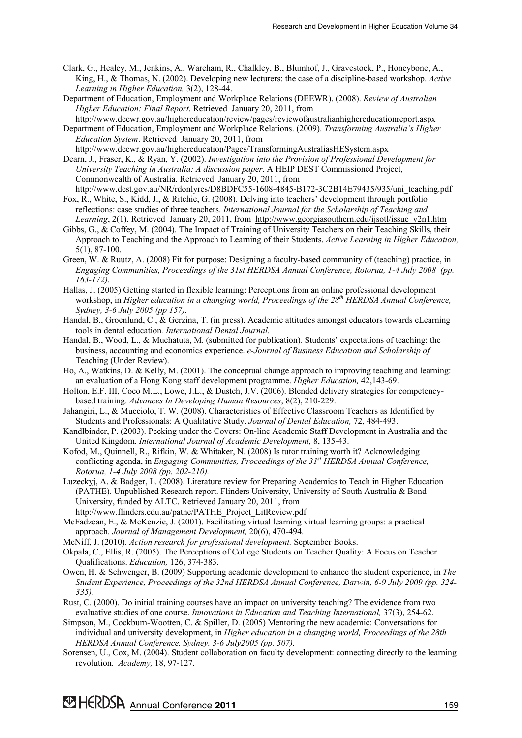- Clark, G., Healey, M., Jenkins, A., Wareham, R., Chalkley, B., Blumhof, J., Gravestock, P., Honeybone, A., King, H., & Thomas, N. (2002). Developing new lecturers: the case of a discipline-based workshop. *Active Learning in Higher Education,* 3(2), 128-44.
- Department of Education, Employment and Workplace Relations (DEEWR). (2008). *Review of Australian Higher Education: Final Report*. Retrieved January 20, 2011, from http://www.deewr.gov.au/highereducation/review/pages/reviewofaustralianhighereducationreport.aspx

Department of Education, Employment and Workplace Relations. (2009). *Transforming Australia's Higher Education System*. Retrieved January 20, 2011, from http://www.deewr.gov.au/highereducation/Pages/TransformingAustraliasHESystem.aspx

Dearn, J., Fraser, K., & Ryan, Y. (2002). *Investigation into the Provision of Professional Development for University Teaching in Australia: A discussion paper*. A HEIP DEST Commissioned Project, Commonwealth of Australia. Retrieved January 20, 2011, from http://www.dest.gov.au/NR/rdonlyres/D8BDFC55-1608-4845-B172-3C2B14E79435/935/uni\_teaching.pdf

- Fox, R., White, S., Kidd, J., & Ritchie, G. (2008). Delving into teachers' development through portfolio reflections: case studies of three teachers. *International Journal for the Scholarship of Teaching and Learning*, 2(1). Retrieved January 20, 2011, from http://www.georgiasouthern.edu/ijsotl/issue v2n1.htm
- Gibbs, G., & Coffey, M. (2004). The Impact of Training of University Teachers on their Teaching Skills, their Approach to Teaching and the Approach to Learning of their Students. *Active Learning in Higher Education,* 5(1), 87-100.
- Green, W. & Ruutz, A. (2008) Fit for purpose: Designing a faculty-based community of (teaching) practice, in *Engaging Communities, Proceedings of the 31st HERDSA Annual Conference, Rotorua, 1-4 July 2008 (pp. 163-172).*
- Hallas, J. (2005) Getting started in flexible learning: Perceptions from an online professional development workshop, in *Higher education in a changing world, Proceedings of the 28<sup>th</sup> HERDSA Annual Conference, Sydney, 3-6 July 2005 (pp 157).*
- Handal, B., Groenlund, C., & Gerzina, T. (in press). Academic attitudes amongst educators towards eLearning tools in dental education*. International Dental Journal.*
- Handal, B., Wood, L., & Muchatuta, M. (submitted for publication)*.* Students' expectations of teaching: the business, accounting and economics experience. *e-Journal of Business Education and Scholarship of* Teaching (Under Review).
- Ho, A., Watkins, D. & Kelly, M. (2001). The conceptual change approach to improving teaching and learning: an evaluation of a Hong Kong staff development programme. *Higher Education,* 42,143-69.
- Holton, E.F. III, Coco M.L., Lowe, J.L., & Dustch, J.V. (2006). Blended delivery strategies for competencybased training. *Advances In Developing Human Resources*, 8(2), 210-229.

Jahangiri, L., & Mucciolo, T. W. (2008). Characteristics of Effective Classroom Teachers as Identified by Students and Professionals: A Qualitative Study. *Journal of Dental Education,* 72, 484-493.

- Kandlbinder, P. (2003). Peeking under the Covers: On-line Academic Staff Development in Australia and the United Kingdom. *International Journal of Academic Development,* 8, 135-43.
- Kofod, M., Quinnell, R., Rifkin, W. & Whitaker, N. (2008) Is tutor training worth it? Acknowledging conflicting agenda, in *Engaging Communities, Proceedings of the 31st HERDSA Annual Conference, Rotorua, 1-4 July 2008 (pp. 202-210).*
- Luzeckyj, A. & Badger, L. (2008). Literature review for Preparing Academics to Teach in Higher Education (PATHE). Unpublished Research report. Flinders University, University of South Australia & Bond University, funded by ALTC. Retrieved January 20, 2011, from http://www.flinders.edu.au/pathe/PATHE\_Project\_LitReview.pdf
- McFadzean, E., & McKenzie, J. (2001). Facilitating virtual learning virtual learning groups: a practical approach. *Journal of Management Development,* 20(6), 470-494.
- McNiff, J. (2010). *Action research for professional development.* September Books.
- Okpala, C., Ellis, R. (2005). The Perceptions of College Students on Teacher Quality: A Focus on Teacher Qualifications. *Education,* 126, 374-383.
- Owen, H. & Schwenger, B. (2009) Supporting academic development to enhance the student experience, in *The Student Experience, Proceedings of the 32nd HERDSA Annual Conference, Darwin, 6-9 July 2009 (pp. 324- 335).*
- Rust, C. (2000). Do initial training courses have an impact on university teaching? The evidence from two evaluative studies of one course. *Innovations in Education and Teaching International,* 37(3), 254-62.
- Simpson, M., Cockburn-Wootten, C. & Spiller, D. (2005) Mentoring the new academic: Conversations for individual and university development, in *Higher education in a changing world, Proceedings of the 28th HERDSA Annual Conference, Sydney, 3-6 July2005 (pp. 507).*
- Sorensen, U., Cox, M. (2004). Student collaboration on faculty development: connecting directly to the learning revolution. *Academy,* 18, 97-127.

**MERDSA** Annual Conference 2011